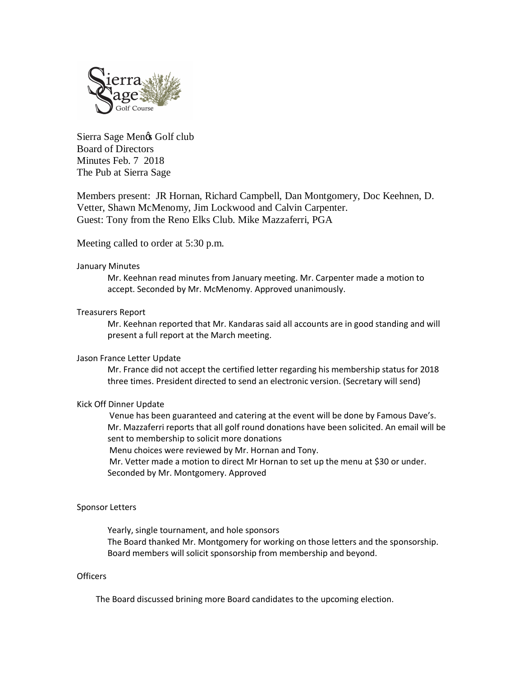

Sierra Sage Mengs Golf club Board of Directors Minutes Feb. 7 2018 The Pub at Sierra Sage

Members present: JR Hornan, Richard Campbell, Dan Montgomery, Doc Keehnen, D. Vetter, Shawn McMenomy, Jim Lockwood and Calvin Carpenter. Guest: Tony from the Reno Elks Club. Mike Mazzaferri, PGA

Meeting called to order at 5:30 p.m.

# January Minutes

Mr. Keehnan read minutes from January meeting. Mr. Carpenter made a motion to accept. Seconded by Mr. McMenomy. Approved unanimously.

# Treasurers Report

Mr. Keehnan reported that Mr. Kandaras said all accounts are in good standing and will present a full report at the March meeting.

#### Jason France Letter Update

Mr. France did not accept the certified letter regarding his membership status for 2018 three times. President directed to send an electronic version. (Secretary will send)

# Kick Off Dinner Update

Venue has been guaranteed and catering at the event will be done by Famous Dave's. Mr. Mazzaferri reports that all golf round donations have been solicited. An email will be sent to membership to solicit more donations

Menu choices were reviewed by Mr. Hornan and Tony.

Mr. Vetter made a motion to direct Mr Hornan to set up the menu at \$30 or under. Seconded by Mr. Montgomery. Approved

# Sponsor Letters

Yearly, single tournament, and hole sponsors The Board thanked Mr. Montgomery for working on those letters and the sponsorship. Board members will solicit sponsorship from membership and beyond.

## **Officers**

The Board discussed brining more Board candidates to the upcoming election.